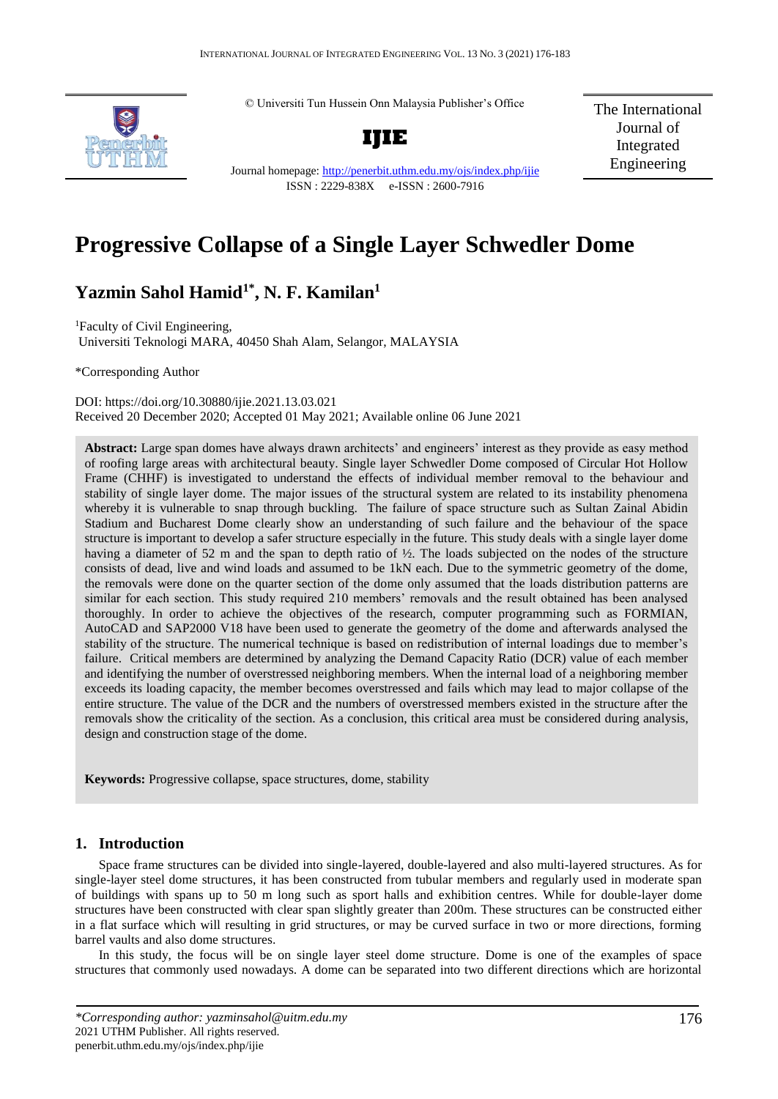© Universiti Tun Hussein Onn Malaysia Publisher's Office



**IJIE**

The International Journal of Integrated Engineering

Journal homepage:<http://penerbit.uthm.edu.my/ojs/index.php/ijie> ISSN : 2229-838X e-ISSN : 2600-7916

# **Progressive Collapse of a Single Layer Schwedler Dome**

## **Yazmin Sahol Hamid1\*, N. F. Kamilan<sup>1</sup>**

<sup>1</sup>Faculty of Civil Engineering, Universiti Teknologi MARA, 40450 Shah Alam, Selangor, MALAYSIA

\*Corresponding Author

DOI: https://doi.org/10.30880/ijie.2021.13.03.021 Received 20 December 2020; Accepted 01 May 2021; Available online 06 June 2021

**Abstract:** Large span domes have always drawn architects' and engineers' interest as they provide as easy method of roofing large areas with architectural beauty. Single layer Schwedler Dome composed of Circular Hot Hollow Frame (CHHF) is investigated to understand the effects of individual member removal to the behaviour and stability of single layer dome. The major issues of the structural system are related to its instability phenomena whereby it is vulnerable to snap through buckling. The failure of space structure such as Sultan Zainal Abidin Stadium and Bucharest Dome clearly show an understanding of such failure and the behaviour of the space structure is important to develop a safer structure especially in the future. This study deals with a single layer dome having a diameter of 52 m and the span to depth ratio of ½. The loads subjected on the nodes of the structure consists of dead, live and wind loads and assumed to be 1kN each. Due to the symmetric geometry of the dome, the removals were done on the quarter section of the dome only assumed that the loads distribution patterns are similar for each section. This study required 210 members' removals and the result obtained has been analysed thoroughly. In order to achieve the objectives of the research, computer programming such as FORMIAN, AutoCAD and SAP2000 V18 have been used to generate the geometry of the dome and afterwards analysed the stability of the structure. The numerical technique is based on redistribution of internal loadings due to member's failure. Critical members are determined by analyzing the Demand Capacity Ratio (DCR) value of each member and identifying the number of overstressed neighboring members. When the internal load of a neighboring member exceeds its loading capacity, the member becomes overstressed and fails which may lead to major collapse of the entire structure. The value of the DCR and the numbers of overstressed members existed in the structure after the removals show the criticality of the section. As a conclusion, this critical area must be considered during analysis, design and construction stage of the dome.

**Keywords:** Progressive collapse, space structures, dome, stability

## **1. Introduction**

Space frame structures can be divided into single-layered, double-layered and also multi-layered structures. As for single-layer steel dome structures, it has been constructed from tubular members and regularly used in moderate span of buildings with spans up to 50 m long such as sport halls and exhibition centres. While for double-layer dome structures have been constructed with clear span slightly greater than 200m. These structures can be constructed either in a flat surface which will resulting in grid structures, or may be curved surface in two or more directions, forming barrel vaults and also dome structures.

In this study, the focus will be on single layer steel dome structure. Dome is one of the examples of space structures that commonly used nowadays. A dome can be separated into two different directions which are horizontal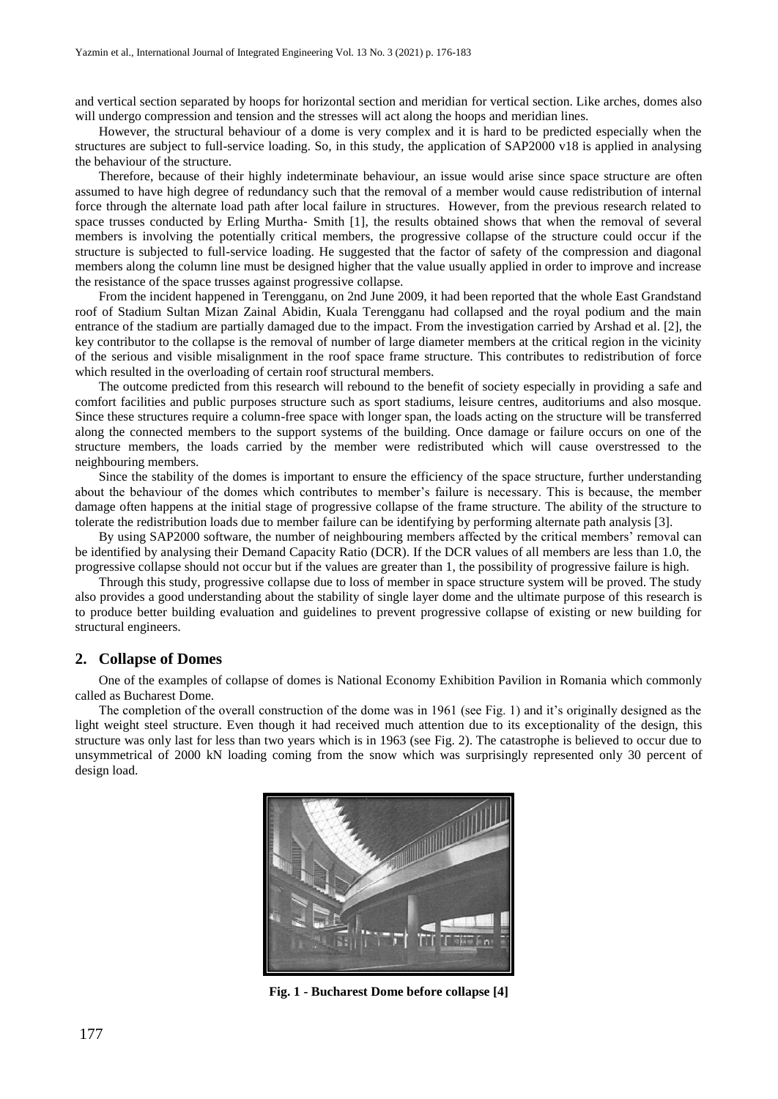and vertical section separated by hoops for horizontal section and meridian for vertical section. Like arches, domes also will undergo compression and tension and the stresses will act along the hoops and meridian lines.

However, the structural behaviour of a dome is very complex and it is hard to be predicted especially when the structures are subject to full-service loading. So, in this study, the application of SAP2000 v18 is applied in analysing the behaviour of the structure.

Therefore, because of their highly indeterminate behaviour, an issue would arise since space structure are often assumed to have high degree of redundancy such that the removal of a member would cause redistribution of internal force through the alternate load path after local failure in structures. However, from the previous research related to space trusses conducted by Erling Murtha- Smith [1], the results obtained shows that when the removal of several members is involving the potentially critical members, the progressive collapse of the structure could occur if the structure is subjected to full-service loading. He suggested that the factor of safety of the compression and diagonal members along the column line must be designed higher that the value usually applied in order to improve and increase the resistance of the space trusses against progressive collapse.

From the incident happened in Terengganu, on 2nd June 2009, it had been reported that the whole East Grandstand roof of Stadium Sultan Mizan Zainal Abidin, Kuala Terengganu had collapsed and the royal podium and the main entrance of the stadium are partially damaged due to the impact. From the investigation carried by Arshad et al. [2], the key contributor to the collapse is the removal of number of large diameter members at the critical region in the vicinity of the serious and visible misalignment in the roof space frame structure. This contributes to redistribution of force which resulted in the overloading of certain roof structural members.

The outcome predicted from this research will rebound to the benefit of society especially in providing a safe and comfort facilities and public purposes structure such as sport stadiums, leisure centres, auditoriums and also mosque. Since these structures require a column-free space with longer span, the loads acting on the structure will be transferred along the connected members to the support systems of the building. Once damage or failure occurs on one of the structure members, the loads carried by the member were redistributed which will cause overstressed to the neighbouring members.

Since the stability of the domes is important to ensure the efficiency of the space structure, further understanding about the behaviour of the domes which contributes to member's failure is necessary. This is because, the member damage often happens at the initial stage of progressive collapse of the frame structure. The ability of the structure to tolerate the redistribution loads due to member failure can be identifying by performing alternate path analysis [3].

By using SAP2000 software, the number of neighbouring members affected by the critical members' removal can be identified by analysing their Demand Capacity Ratio (DCR). If the DCR values of all members are less than 1.0, the progressive collapse should not occur but if the values are greater than 1, the possibility of progressive failure is high.

Through this study, progressive collapse due to loss of member in space structure system will be proved. The study also provides a good understanding about the stability of single layer dome and the ultimate purpose of this research is to produce better building evaluation and guidelines to prevent progressive collapse of existing or new building for structural engineers.

#### **2. Collapse of Domes**

One of the examples of collapse of domes is National Economy Exhibition Pavilion in Romania which commonly called as Bucharest Dome.

The completion of the overall construction of the dome was in 1961 (see Fig. 1) and it's originally designed as the light weight steel structure. Even though it had received much attention due to its exceptionality of the design, this structure was only last for less than two years which is in 1963 (see Fig. 2). The catastrophe is believed to occur due to unsymmetrical of 2000 kN loading coming from the snow which was surprisingly represented only 30 percent of design load.



**Fig. 1 - Bucharest Dome before collapse [4]**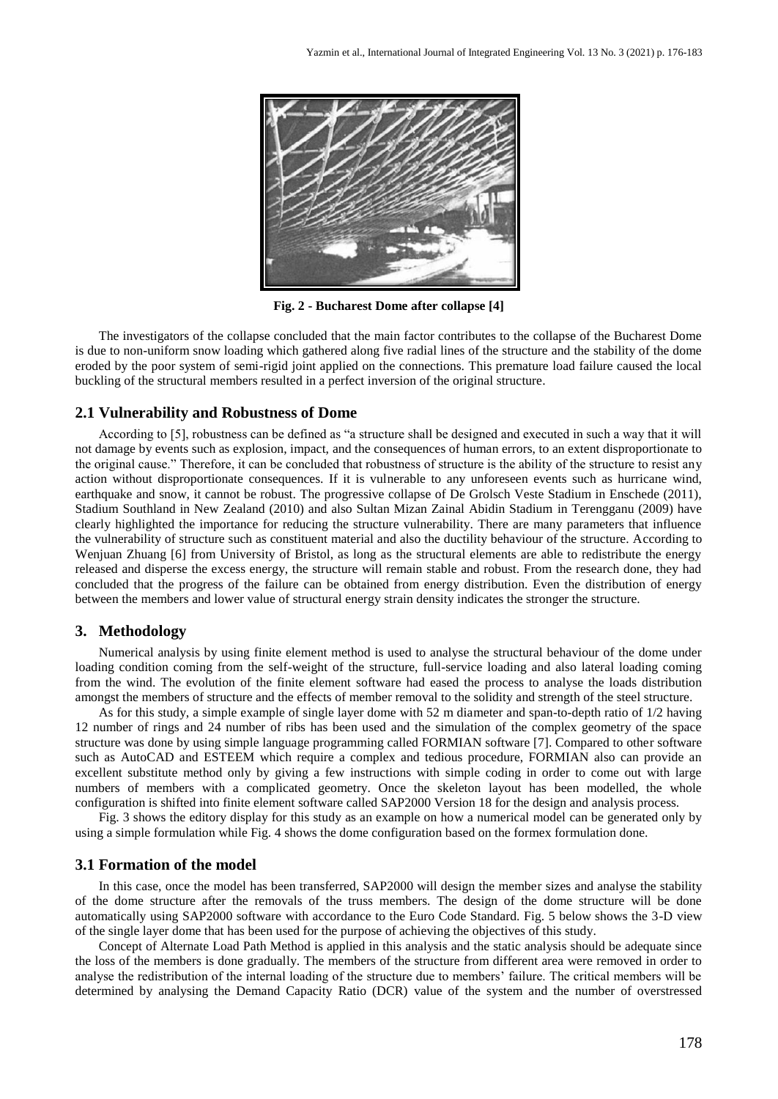

**Fig. 2 - Bucharest Dome after collapse [4]**

The investigators of the collapse concluded that the main factor contributes to the collapse of the Bucharest Dome is due to non-uniform snow loading which gathered along five radial lines of the structure and the stability of the dome eroded by the poor system of semi-rigid joint applied on the connections. This premature load failure caused the local buckling of the structural members resulted in a perfect inversion of the original structure.

#### **2.1 Vulnerability and Robustness of Dome**

According to [5], robustness can be defined as "a structure shall be designed and executed in such a way that it will not damage by events such as explosion, impact, and the consequences of human errors, to an extent disproportionate to the original cause." Therefore, it can be concluded that robustness of structure is the ability of the structure to resist any action without disproportionate consequences. If it is vulnerable to any unforeseen events such as hurricane wind, earthquake and snow, it cannot be robust. The progressive collapse of De Grolsch Veste Stadium in Enschede (2011), Stadium Southland in New Zealand (2010) and also Sultan Mizan Zainal Abidin Stadium in Terengganu (2009) have clearly highlighted the importance for reducing the structure vulnerability. There are many parameters that influence the vulnerability of structure such as constituent material and also the ductility behaviour of the structure. According to Wenjuan Zhuang [6] from University of Bristol, as long as the structural elements are able to redistribute the energy released and disperse the excess energy, the structure will remain stable and robust. From the research done, they had concluded that the progress of the failure can be obtained from energy distribution. Even the distribution of energy between the members and lower value of structural energy strain density indicates the stronger the structure.

#### **3. Methodology**

Numerical analysis by using finite element method is used to analyse the structural behaviour of the dome under loading condition coming from the self-weight of the structure, full-service loading and also lateral loading coming from the wind. The evolution of the finite element software had eased the process to analyse the loads distribution amongst the members of structure and the effects of member removal to the solidity and strength of the steel structure.

As for this study, a simple example of single layer dome with 52 m diameter and span-to-depth ratio of 1/2 having 12 number of rings and 24 number of ribs has been used and the simulation of the complex geometry of the space structure was done by using simple language programming called FORMIAN software [7]. Compared to other software such as AutoCAD and ESTEEM which require a complex and tedious procedure, FORMIAN also can provide an excellent substitute method only by giving a few instructions with simple coding in order to come out with large numbers of members with a complicated geometry. Once the skeleton layout has been modelled, the whole configuration is shifted into finite element software called SAP2000 Version 18 for the design and analysis process.

Fig. 3 shows the editory display for this study as an example on how a numerical model can be generated only by using a simple formulation while Fig. 4 shows the dome configuration based on the formex formulation done.

#### **3.1 Formation of the model**

In this case, once the model has been transferred, SAP2000 will design the member sizes and analyse the stability of the dome structure after the removals of the truss members. The design of the dome structure will be done automatically using SAP2000 software with accordance to the Euro Code Standard. Fig. 5 below shows the 3-D view of the single layer dome that has been used for the purpose of achieving the objectives of this study.

Concept of Alternate Load Path Method is applied in this analysis and the static analysis should be adequate since the loss of the members is done gradually. The members of the structure from different area were removed in order to analyse the redistribution of the internal loading of the structure due to members' failure. The critical members will be determined by analysing the Demand Capacity Ratio (DCR) value of the system and the number of overstressed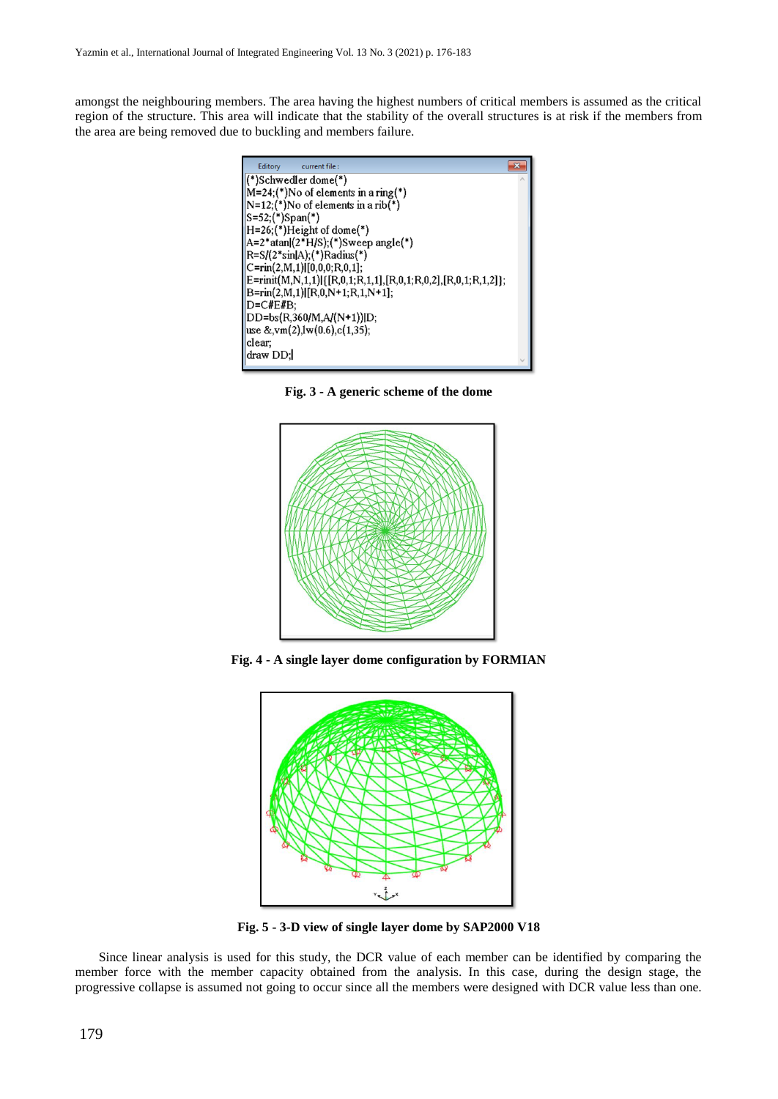amongst the neighbouring members. The area having the highest numbers of critical members is assumed as the critical region of the structure. This area will indicate that the stability of the overall structures is at risk if the members from the area are being removed due to buckling and members failure.



**Fig. 3 - A generic scheme of the dome**



**Fig. 4 - A single layer dome configuration by FORMIAN**



**Fig. 5 - 3-D view of single layer dome by SAP2000 V18**

Since linear analysis is used for this study, the DCR value of each member can be identified by comparing the member force with the member capacity obtained from the analysis. In this case, during the design stage, the progressive collapse is assumed not going to occur since all the members were designed with DCR value less than one.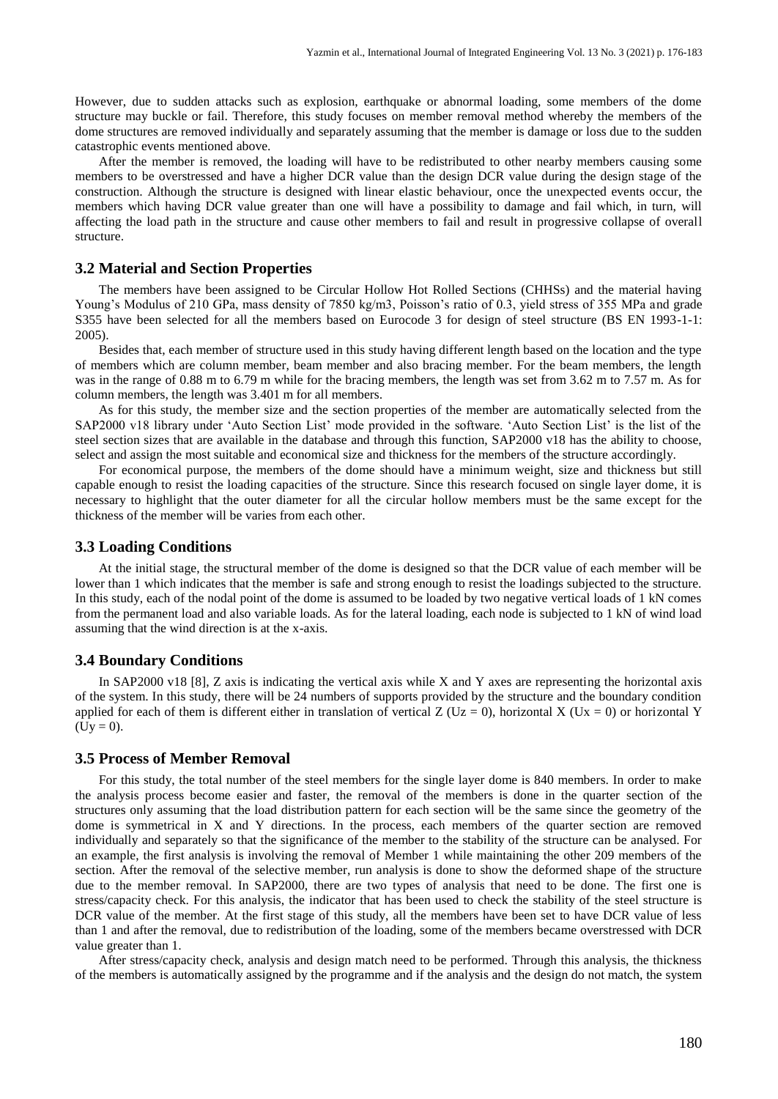However, due to sudden attacks such as explosion, earthquake or abnormal loading, some members of the dome structure may buckle or fail. Therefore, this study focuses on member removal method whereby the members of the dome structures are removed individually and separately assuming that the member is damage or loss due to the sudden catastrophic events mentioned above.

After the member is removed, the loading will have to be redistributed to other nearby members causing some members to be overstressed and have a higher DCR value than the design DCR value during the design stage of the construction. Although the structure is designed with linear elastic behaviour, once the unexpected events occur, the members which having DCR value greater than one will have a possibility to damage and fail which, in turn, will affecting the load path in the structure and cause other members to fail and result in progressive collapse of overall structure.

#### **3.2 Material and Section Properties**

The members have been assigned to be Circular Hollow Hot Rolled Sections (CHHSs) and the material having Young's Modulus of 210 GPa, mass density of 7850 kg/m3, Poisson's ratio of 0.3, yield stress of 355 MPa and grade S355 have been selected for all the members based on Eurocode 3 for design of steel structure (BS EN 1993-1-1: 2005).

Besides that, each member of structure used in this study having different length based on the location and the type of members which are column member, beam member and also bracing member. For the beam members, the length was in the range of 0.88 m to 6.79 m while for the bracing members, the length was set from 3.62 m to 7.57 m. As for column members, the length was 3.401 m for all members.

As for this study, the member size and the section properties of the member are automatically selected from the SAP2000 v18 library under 'Auto Section List' mode provided in the software. 'Auto Section List' is the list of the steel section sizes that are available in the database and through this function, SAP2000 v18 has the ability to choose, select and assign the most suitable and economical size and thickness for the members of the structure accordingly.

For economical purpose, the members of the dome should have a minimum weight, size and thickness but still capable enough to resist the loading capacities of the structure. Since this research focused on single layer dome, it is necessary to highlight that the outer diameter for all the circular hollow members must be the same except for the thickness of the member will be varies from each other.

#### **3.3 Loading Conditions**

At the initial stage, the structural member of the dome is designed so that the DCR value of each member will be lower than 1 which indicates that the member is safe and strong enough to resist the loadings subjected to the structure. In this study, each of the nodal point of the dome is assumed to be loaded by two negative vertical loads of 1 kN comes from the permanent load and also variable loads. As for the lateral loading, each node is subjected to 1 kN of wind load assuming that the wind direction is at the x-axis.

#### **3.4 Boundary Conditions**

In SAP2000 v18 [8], Z axis is indicating the vertical axis while X and Y axes are representing the horizontal axis of the system. In this study, there will be 24 numbers of supports provided by the structure and the boundary condition applied for each of them is different either in translation of vertical Z (Uz = 0), horizontal X (Ux = 0) or horizontal Y  $(Uy = 0)$ .

#### **3.5 Process of Member Removal**

For this study, the total number of the steel members for the single layer dome is 840 members. In order to make the analysis process become easier and faster, the removal of the members is done in the quarter section of the structures only assuming that the load distribution pattern for each section will be the same since the geometry of the dome is symmetrical in X and Y directions. In the process, each members of the quarter section are removed individually and separately so that the significance of the member to the stability of the structure can be analysed. For an example, the first analysis is involving the removal of Member 1 while maintaining the other 209 members of the section. After the removal of the selective member, run analysis is done to show the deformed shape of the structure due to the member removal. In SAP2000, there are two types of analysis that need to be done. The first one is stress/capacity check. For this analysis, the indicator that has been used to check the stability of the steel structure is DCR value of the member. At the first stage of this study, all the members have been set to have DCR value of less than 1 and after the removal, due to redistribution of the loading, some of the members became overstressed with DCR value greater than 1.

After stress/capacity check, analysis and design match need to be performed. Through this analysis, the thickness of the members is automatically assigned by the programme and if the analysis and the design do not match, the system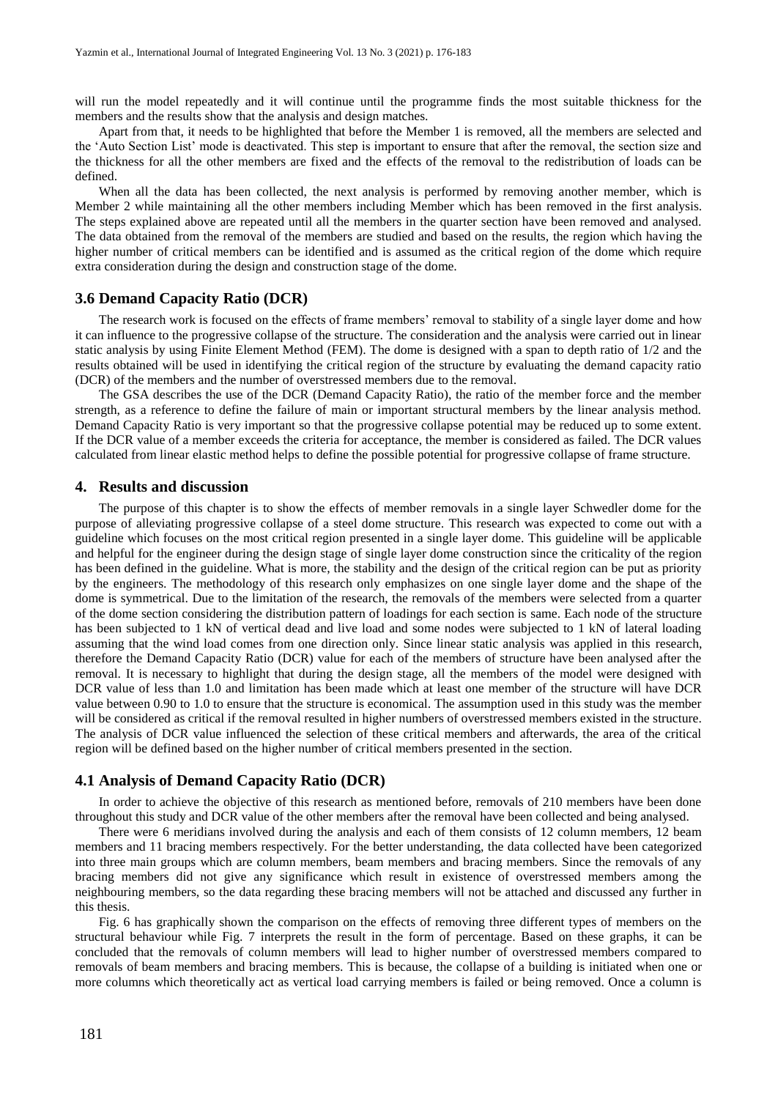will run the model repeatedly and it will continue until the programme finds the most suitable thickness for the members and the results show that the analysis and design matches.

Apart from that, it needs to be highlighted that before the Member 1 is removed, all the members are selected and the 'Auto Section List' mode is deactivated. This step is important to ensure that after the removal, the section size and the thickness for all the other members are fixed and the effects of the removal to the redistribution of loads can be defined.

When all the data has been collected, the next analysis is performed by removing another member, which is Member 2 while maintaining all the other members including Member which has been removed in the first analysis. The steps explained above are repeated until all the members in the quarter section have been removed and analysed. The data obtained from the removal of the members are studied and based on the results, the region which having the higher number of critical members can be identified and is assumed as the critical region of the dome which require extra consideration during the design and construction stage of the dome.

#### **3.6 Demand Capacity Ratio (DCR)**

The research work is focused on the effects of frame members' removal to stability of a single layer dome and how it can influence to the progressive collapse of the structure. The consideration and the analysis were carried out in linear static analysis by using Finite Element Method (FEM). The dome is designed with a span to depth ratio of 1/2 and the results obtained will be used in identifying the critical region of the structure by evaluating the demand capacity ratio (DCR) of the members and the number of overstressed members due to the removal.

The GSA describes the use of the DCR (Demand Capacity Ratio), the ratio of the member force and the member strength, as a reference to define the failure of main or important structural members by the linear analysis method. Demand Capacity Ratio is very important so that the progressive collapse potential may be reduced up to some extent. If the DCR value of a member exceeds the criteria for acceptance, the member is considered as failed. The DCR values calculated from linear elastic method helps to define the possible potential for progressive collapse of frame structure.

#### **4. Results and discussion**

The purpose of this chapter is to show the effects of member removals in a single layer Schwedler dome for the purpose of alleviating progressive collapse of a steel dome structure. This research was expected to come out with a guideline which focuses on the most critical region presented in a single layer dome. This guideline will be applicable and helpful for the engineer during the design stage of single layer dome construction since the criticality of the region has been defined in the guideline. What is more, the stability and the design of the critical region can be put as priority by the engineers. The methodology of this research only emphasizes on one single layer dome and the shape of the dome is symmetrical. Due to the limitation of the research, the removals of the members were selected from a quarter of the dome section considering the distribution pattern of loadings for each section is same. Each node of the structure has been subjected to 1 kN of vertical dead and live load and some nodes were subjected to 1 kN of lateral loading assuming that the wind load comes from one direction only. Since linear static analysis was applied in this research, therefore the Demand Capacity Ratio (DCR) value for each of the members of structure have been analysed after the removal. It is necessary to highlight that during the design stage, all the members of the model were designed with DCR value of less than 1.0 and limitation has been made which at least one member of the structure will have DCR value between 0.90 to 1.0 to ensure that the structure is economical. The assumption used in this study was the member will be considered as critical if the removal resulted in higher numbers of overstressed members existed in the structure. The analysis of DCR value influenced the selection of these critical members and afterwards, the area of the critical region will be defined based on the higher number of critical members presented in the section.

#### **4.1 Analysis of Demand Capacity Ratio (DCR)**

In order to achieve the objective of this research as mentioned before, removals of 210 members have been done throughout this study and DCR value of the other members after the removal have been collected and being analysed.

There were 6 meridians involved during the analysis and each of them consists of 12 column members, 12 beam members and 11 bracing members respectively. For the better understanding, the data collected have been categorized into three main groups which are column members, beam members and bracing members. Since the removals of any bracing members did not give any significance which result in existence of overstressed members among the neighbouring members, so the data regarding these bracing members will not be attached and discussed any further in this thesis.

Fig. 6 has graphically shown the comparison on the effects of removing three different types of members on the structural behaviour while Fig. 7 interprets the result in the form of percentage. Based on these graphs, it can be concluded that the removals of column members will lead to higher number of overstressed members compared to removals of beam members and bracing members. This is because, the collapse of a building is initiated when one or more columns which theoretically act as vertical load carrying members is failed or being removed. Once a column is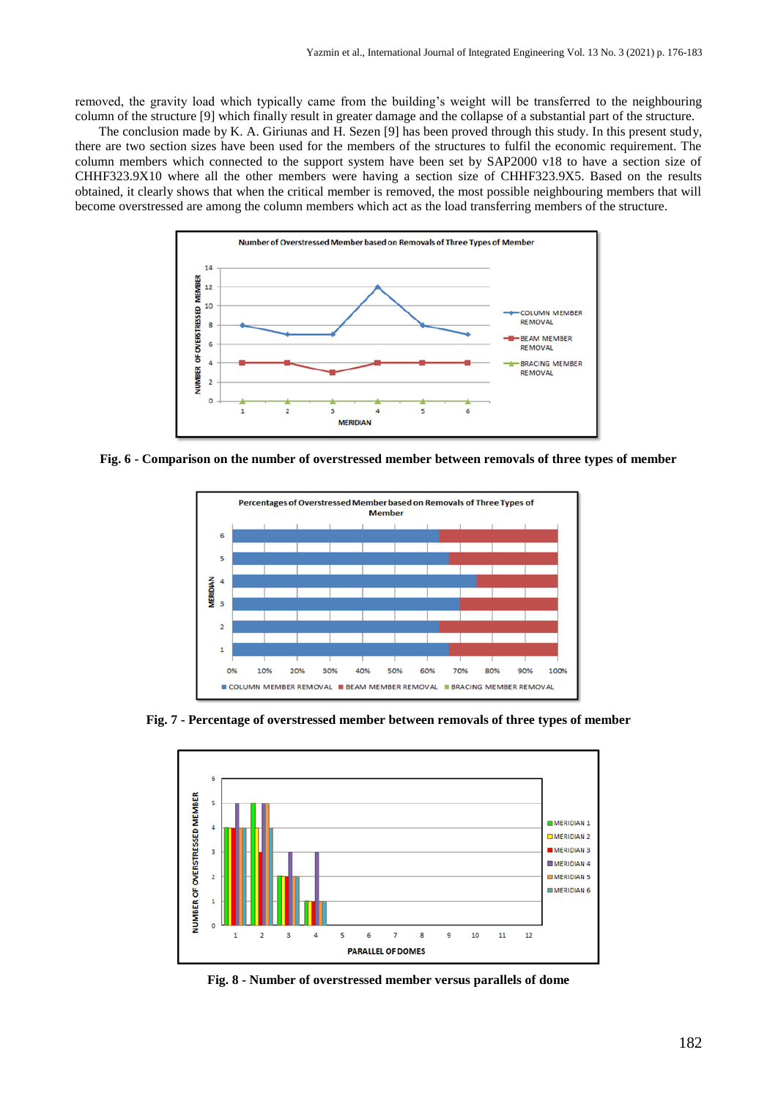removed, the gravity load which typically came from the building's weight will be transferred to the neighbouring column of the structure [9] which finally result in greater damage and the collapse of a substantial part of the structure.

The conclusion made by K. A. Giriunas and H. Sezen [9] has been proved through this study. In this present study, there are two section sizes have been used for the members of the structures to fulfil the economic requirement. The column members which connected to the support system have been set by SAP2000 v18 to have a section size of CHHF323.9X10 where all the other members were having a section size of CHHF323.9X5. Based on the results obtained, it clearly shows that when the critical member is removed, the most possible neighbouring members that will become overstressed are among the column members which act as the load transferring members of the structure.



**Fig. 6 - Comparison on the number of overstressed member between removals of three types of member**



**Fig. 7 - Percentage of overstressed member between removals of three types of member**



**Fig. 8 - Number of overstressed member versus parallels of dome**